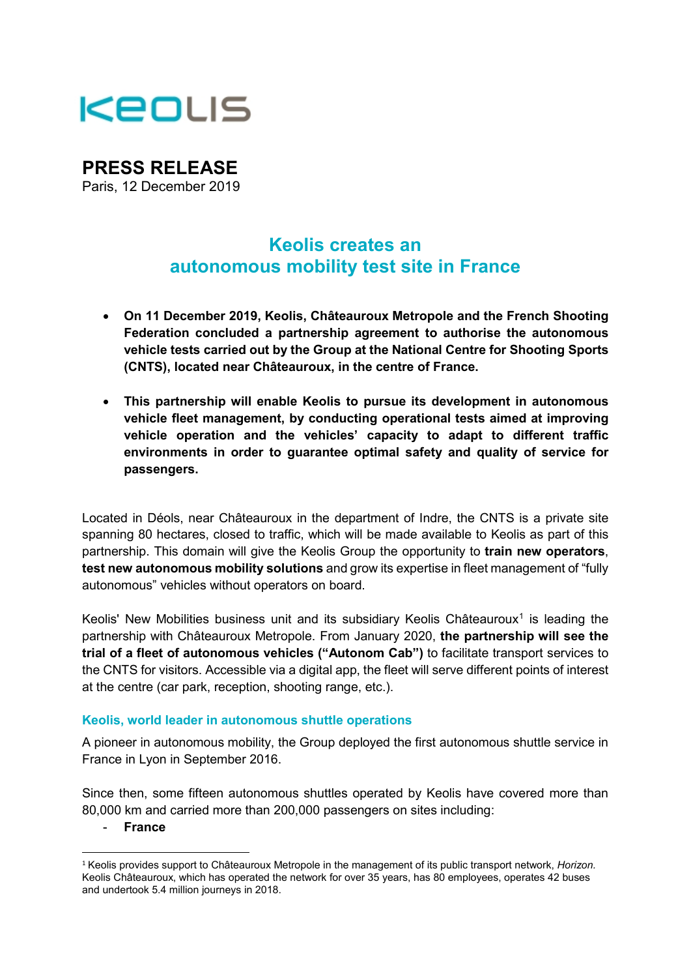

# **PRESS RELEASE**

Paris, 12 December 2019

# **Keolis creates an autonomous mobility test site in France**

- **On 11 December 2019, Keolis, Châteauroux Metropole and the French Shooting Federation concluded a partnership agreement to authorise the autonomous vehicle tests carried out by the Group at the National Centre for Shooting Sports (CNTS), located near Châteauroux, in the centre of France.**
- **This partnership will enable Keolis to pursue its development in autonomous vehicle fleet management, by conducting operational tests aimed at improving vehicle operation and the vehicles' capacity to adapt to different traffic environments in order to guarantee optimal safety and quality of service for passengers.**

Located in Déols, near Châteauroux in the department of Indre, the CNTS is a private site spanning 80 hectares, closed to traffic, which will be made available to Keolis as part of this partnership. This domain will give the Keolis Group the opportunity to **train new operators**, **test new autonomous mobility solutions** and grow its expertise in fleet management of "fully autonomous" vehicles without operators on board.

Keolis' New Mobilities business unit and its subsidiary Keolis Châteauroux<sup>[1](#page-0-0)</sup> is leading the partnership with Châteauroux Metropole. From January 2020, **the partnership will see the trial of a fleet of autonomous vehicles ("Autonom Cab")** to facilitate transport services to the CNTS for visitors. Accessible via a digital app, the fleet will serve different points of interest at the centre (car park, reception, shooting range, etc.).

## **Keolis, world leader in autonomous shuttle operations**

A pioneer in autonomous mobility, the Group deployed the first autonomous shuttle service in France in Lyon in September 2016.

Since then, some fifteen autonomous shuttles operated by Keolis have covered more than 80,000 km and carried more than 200,000 passengers on sites including:

- **France**

<span id="page-0-0"></span> <sup>1</sup> Keolis provides support to Châteauroux Metropole in the management of its public transport network, *Horizon.*  Keolis Châteauroux, which has operated the network for over 35 years, has 80 employees, operates 42 buses and undertook 5.4 million journeys in 2018.